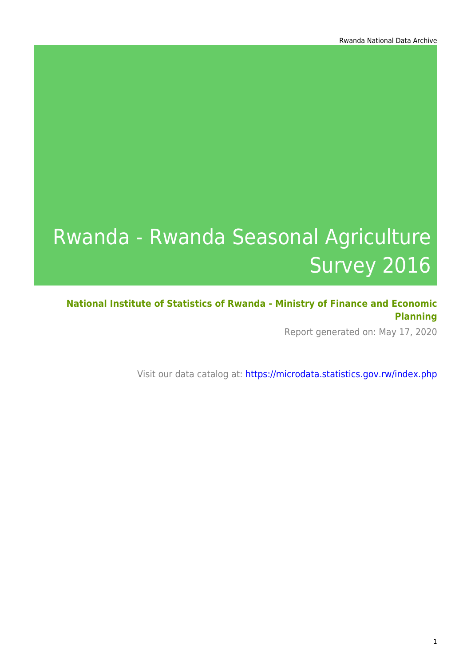# Rwanda - Rwanda Seasonal Agriculture Survey 2016

**National Institute of Statistics of Rwanda - Ministry of Finance and Economic Planning**

Report generated on: May 17, 2020

Visit our data catalog at: https://microdata.statistics.gov.rw/index.php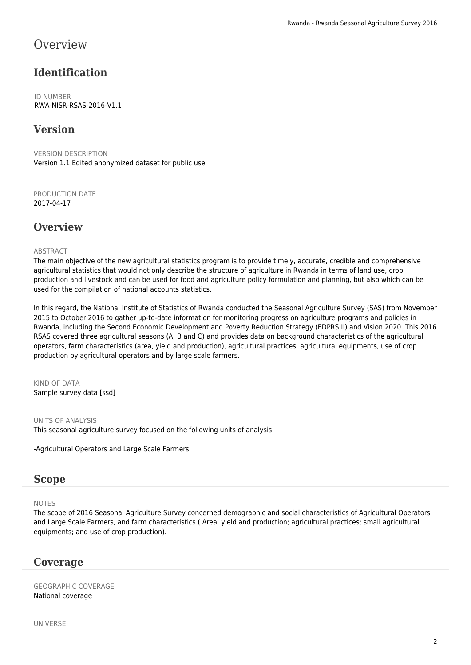#### **Overview**

#### **Identification**

ID NUMBER RWA-NISR-RSAS-2016-V1.1

#### **Version**

VERSION DESCRIPTION Version 1.1 Edited anonymized dataset for public use

PRODUCTION DATE 2017-04-17

#### **Overview**

#### **ABSTRACT**

The main objective of the new agricultural statistics program is to provide timely, accurate, credible and comprehensive agricultural statistics that would not only describe the structure of agriculture in Rwanda in terms of land use, crop production and livestock and can be used for food and agriculture policy formulation and planning, but also which can be used for the compilation of national accounts statistics.

In this regard, the National Institute of Statistics of Rwanda conducted the Seasonal Agriculture Survey (SAS) from November 2015 to October 2016 to gather up-to-date information for monitoring progress on agriculture programs and policies in Rwanda, including the Second Economic Development and Poverty Reduction Strategy (EDPRS II) and Vision 2020. This 2016 RSAS covered three agricultural seasons (A, B and C) and provides data on background characteristics of the agricultural operators, farm characteristics (area, yield and production), agricultural practices, agricultural equipments, use of crop production by agricultural operators and by large scale farmers.

KIND OF DATA Sample survey data [ssd]

UNITS OF ANALYSIS This seasonal agriculture survey focused on the following units of analysis:

-Agricultural Operators and Large Scale Farmers

#### **Scope**

#### NOTES

The scope of 2016 Seasonal Agriculture Survey concerned demographic and social characteristics of Agricultural Operators and Large Scale Farmers, and farm characteristics ( Area, yield and production; agricultural practices; small agricultural equipments; and use of crop production).

#### **Coverage**

GEOGRAPHIC COVERAGE National coverage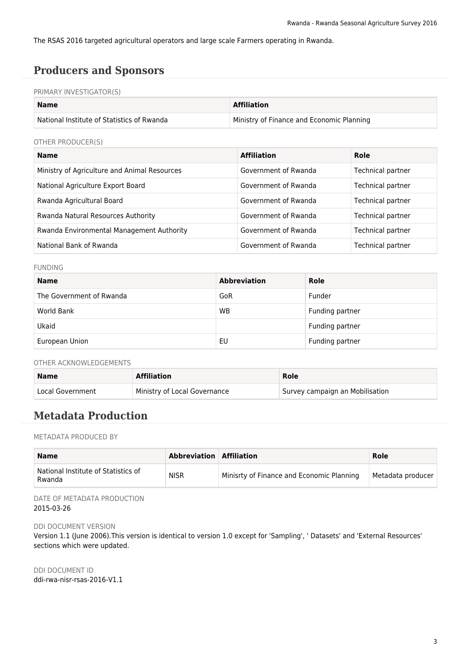The RSAS 2016 targeted agricultural operators and large scale Farmers operating in Rwanda.

## **Producers and Sponsors**

PRIMARY INVESTIGATOR(S)

| <b>Name</b>                                | <b>Affiliation</b>                        |
|--------------------------------------------|-------------------------------------------|
| National Institute of Statistics of Rwanda | Ministry of Finance and Economic Planning |

#### OTHER PRODUCER(S)

| <b>Name</b>                                  | <b>Affiliation</b>   | Role              |
|----------------------------------------------|----------------------|-------------------|
| Ministry of Agriculture and Animal Resources | Government of Rwanda | Technical partner |
| National Agriculture Export Board            | Government of Rwanda | Technical partner |
| Rwanda Agricultural Board                    | Government of Rwanda | Technical partner |
| Rwanda Natural Resources Authority           | Government of Rwanda | Technical partner |
| Rwanda Environmental Management Authority    | Government of Rwanda | Technical partner |
| National Bank of Rwanda                      | Government of Rwanda | Technical partner |

#### FUNDING

| <b>Name</b>              | <b>Abbreviation</b> | Role            |
|--------------------------|---------------------|-----------------|
| The Government of Rwanda | GoR                 | Funder          |
| World Bank               | <b>WB</b>           | Funding partner |
| Ukaid                    |                     | Funding partner |
| European Union           | EU                  | Funding partner |

#### OTHER ACKNOWLEDGEMENTS

| <b>Name</b>      | <b>Affiliation</b>           | Role                            |
|------------------|------------------------------|---------------------------------|
| Local Government | Ministry of Local Governance | Survey campaign an Mobilisation |

#### **Metadata Production**

#### METADATA PRODUCED BY

| <b>Name</b>                                   | Abbreviation Affiliation |                                           | Role              |
|-----------------------------------------------|--------------------------|-------------------------------------------|-------------------|
| National Institute of Statistics of<br>Rwanda | <b>NISR</b>              | Minisrty of Finance and Economic Planning | Metadata producer |

DATE OF METADATA PRODUCTION 2015-03-26

#### DDI DOCUMENT VERSION

Version 1.1 (June 2006).This version is identical to version 1.0 except for 'Sampling', ' Datasets' and 'External Resources' sections which were updated.

DDI DOCUMENT ID ddi-rwa-nisr-rsas-2016-V1.1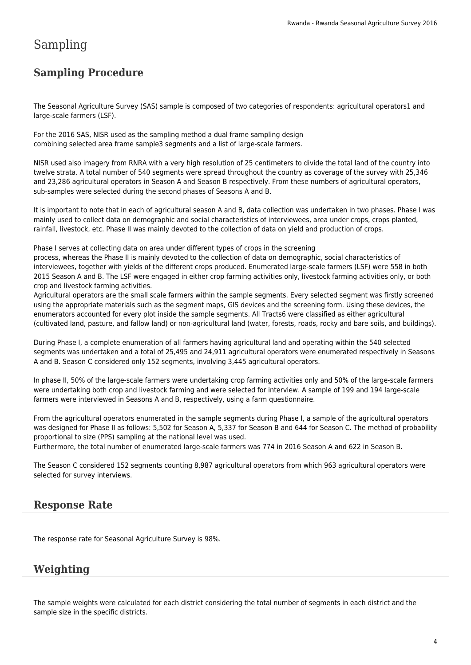# Sampling

## **Sampling Procedure**

The Seasonal Agriculture Survey (SAS) sample is composed of two categories of respondents: agricultural operators1 and large-scale farmers (LSF).

For the 2016 SAS, NISR used as the sampling method a dual frame sampling design combining selected area frame sample3 segments and a list of large-scale farmers.

NISR used also imagery from RNRA with a very high resolution of 25 centimeters to divide the total land of the country into twelve strata. A total number of 540 segments were spread throughout the country as coverage of the survey with 25,346 and 23,286 agricultural operators in Season A and Season B respectively. From these numbers of agricultural operators, sub-samples were selected during the second phases of Seasons A and B.

It is important to note that in each of agricultural season A and B, data collection was undertaken in two phases. Phase I was mainly used to collect data on demographic and social characteristics of interviewees, area under crops, crops planted, rainfall, livestock, etc. Phase II was mainly devoted to the collection of data on yield and production of crops.

Phase I serves at collecting data on area under different types of crops in the screening

process, whereas the Phase II is mainly devoted to the collection of data on demographic, social characteristics of interviewees, together with yields of the different crops produced. Enumerated large-scale farmers (LSF) were 558 in both 2015 Season A and B. The LSF were engaged in either crop farming activities only, livestock farming activities only, or both crop and livestock farming activities.

Agricultural operators are the small scale farmers within the sample segments. Every selected segment was firstly screened using the appropriate materials such as the segment maps, GIS devices and the screening form. Using these devices, the enumerators accounted for every plot inside the sample segments. All Tracts6 were classified as either agricultural (cultivated land, pasture, and fallow land) or non-agricultural land (water, forests, roads, rocky and bare soils, and buildings).

During Phase I, a complete enumeration of all farmers having agricultural land and operating within the 540 selected segments was undertaken and a total of 25,495 and 24,911 agricultural operators were enumerated respectively in Seasons A and B. Season C considered only 152 segments, involving 3,445 agricultural operators.

In phase II, 50% of the large-scale farmers were undertaking crop farming activities only and 50% of the large-scale farmers were undertaking both crop and livestock farming and were selected for interview. A sample of 199 and 194 large-scale farmers were interviewed in Seasons A and B, respectively, using a farm questionnaire.

From the agricultural operators enumerated in the sample segments during Phase I, a sample of the agricultural operators was designed for Phase II as follows: 5,502 for Season A, 5,337 for Season B and 644 for Season C. The method of probability proportional to size (PPS) sampling at the national level was used.

Furthermore, the total number of enumerated large-scale farmers was 774 in 2016 Season A and 622 in Season B.

The Season C considered 152 segments counting 8,987 agricultural operators from which 963 agricultural operators were selected for survey interviews.

#### **Response Rate**

The response rate for Seasonal Agriculture Survey is 98%.

### **Weighting**

The sample weights were calculated for each district considering the total number of segments in each district and the sample size in the specific districts.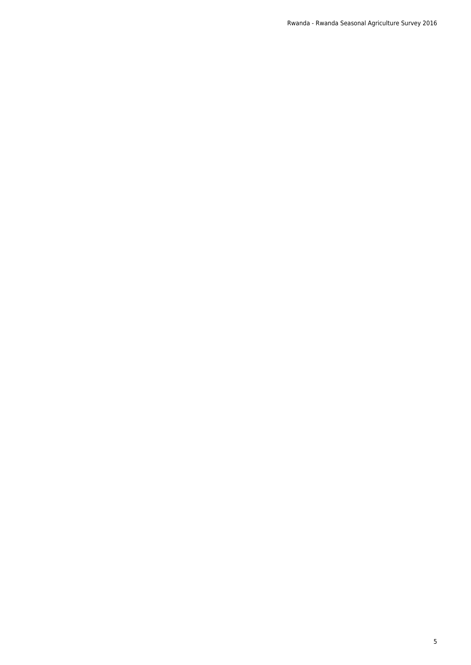Rwanda - Rwanda Seasonal Agriculture Survey 2016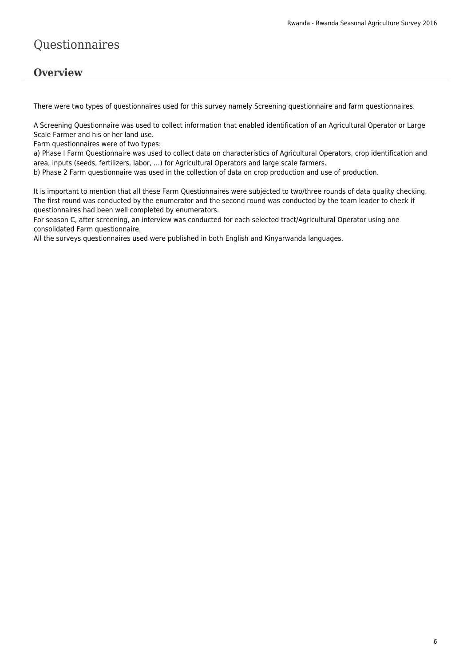# Questionnaires

#### **Overview**

There were two types of questionnaires used for this survey namely Screening questionnaire and farm questionnaires.

A Screening Questionnaire was used to collect information that enabled identification of an Agricultural Operator or Large Scale Farmer and his or her land use.

Farm questionnaires were of two types:

a) Phase I Farm Questionnaire was used to collect data on characteristics of Agricultural Operators, crop identification and area, inputs (seeds, fertilizers, labor, …) for Agricultural Operators and large scale farmers.

b) Phase 2 Farm questionnaire was used in the collection of data on crop production and use of production.

It is important to mention that all these Farm Questionnaires were subjected to two/three rounds of data quality checking. The first round was conducted by the enumerator and the second round was conducted by the team leader to check if questionnaires had been well completed by enumerators.

For season C, after screening, an interview was conducted for each selected tract/Agricultural Operator using one consolidated Farm questionnaire.

All the surveys questionnaires used were published in both English and Kinyarwanda languages.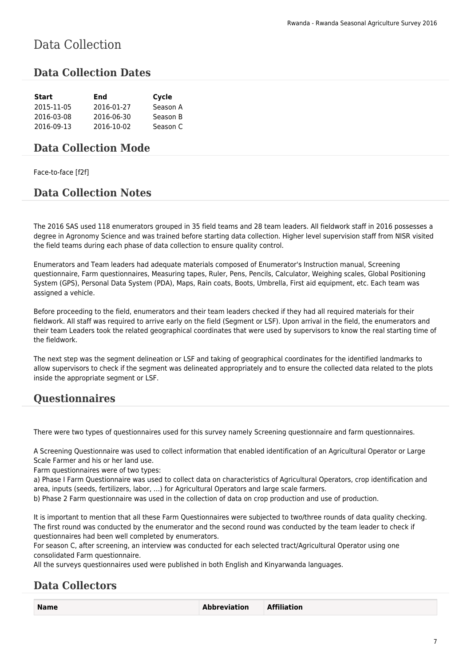# Data Collection

#### **Data Collection Dates**

| Start      | End        | Cycle    |
|------------|------------|----------|
| 2015-11-05 | 2016-01-27 | Season A |
| 2016-03-08 | 2016-06-30 | Season B |
| 2016-09-13 | 2016-10-02 | Season C |

#### **Data Collection Mode**

Face-to-face [f2f]

#### **Data Collection Notes**

The 2016 SAS used 118 enumerators grouped in 35 field teams and 28 team leaders. All fieldwork staff in 2016 possesses a degree in Agronomy Science and was trained before starting data collection. Higher level supervision staff from NISR visited the field teams during each phase of data collection to ensure quality control.

Enumerators and Team leaders had adequate materials composed of Enumerator's Instruction manual, Screening questionnaire, Farm questionnaires, Measuring tapes, Ruler, Pens, Pencils, Calculator, Weighing scales, Global Positioning System (GPS), Personal Data System (PDA), Maps, Rain coats, Boots, Umbrella, First aid equipment, etc. Each team was assigned a vehicle.

Before proceeding to the field, enumerators and their team leaders checked if they had all required materials for their fieldwork. All staff was required to arrive early on the field (Segment or LSF). Upon arrival in the field, the enumerators and their team Leaders took the related geographical coordinates that were used by supervisors to know the real starting time of the fieldwork.

The next step was the segment delineation or LSF and taking of geographical coordinates for the identified landmarks to allow supervisors to check if the segment was delineated appropriately and to ensure the collected data related to the plots inside the appropriate segment or LSF.

#### **Questionnaires**

There were two types of questionnaires used for this survey namely Screening questionnaire and farm questionnaires.

A Screening Questionnaire was used to collect information that enabled identification of an Agricultural Operator or Large Scale Farmer and his or her land use.

Farm questionnaires were of two types:

a) Phase I Farm Questionnaire was used to collect data on characteristics of Agricultural Operators, crop identification and area, inputs (seeds, fertilizers, labor, …) for Agricultural Operators and large scale farmers.

b) Phase 2 Farm questionnaire was used in the collection of data on crop production and use of production.

It is important to mention that all these Farm Questionnaires were subjected to two/three rounds of data quality checking. The first round was conducted by the enumerator and the second round was conducted by the team leader to check if questionnaires had been well completed by enumerators.

For season C, after screening, an interview was conducted for each selected tract/Agricultural Operator using one consolidated Farm questionnaire.

All the surveys questionnaires used were published in both English and Kinyarwanda languages.

### **Data Collectors**

| <b>Name</b> | <b>Abbreviation</b> | <b>Affiliation</b> |
|-------------|---------------------|--------------------|
|-------------|---------------------|--------------------|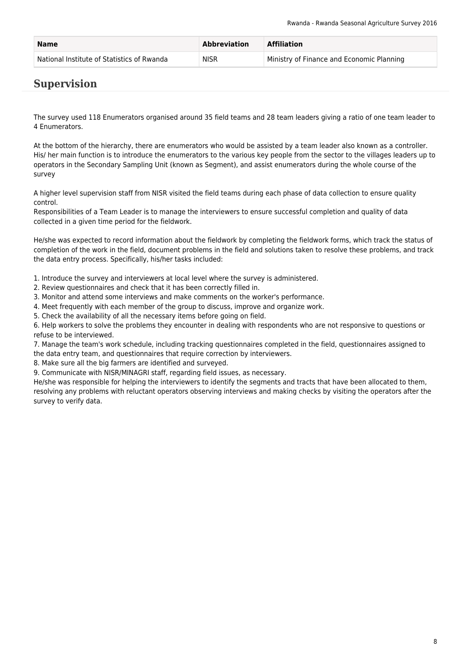| <b>Name</b>                                | Abbreviation | <b>Affiliation</b>                        |
|--------------------------------------------|--------------|-------------------------------------------|
| National Institute of Statistics of Rwanda | <b>NISR</b>  | Ministry of Finance and Economic Planning |

#### **Supervision**

The survey used 118 Enumerators organised around 35 field teams and 28 team leaders giving a ratio of one team leader to 4 Enumerators.

At the bottom of the hierarchy, there are enumerators who would be assisted by a team leader also known as a controller. His/ her main function is to introduce the enumerators to the various key people from the sector to the villages leaders up to operators in the Secondary Sampling Unit (known as Segment), and assist enumerators during the whole course of the survey

A higher level supervision staff from NISR visited the field teams during each phase of data collection to ensure quality control.

Responsibilities of a Team Leader is to manage the interviewers to ensure successful completion and quality of data collected in a given time period for the fieldwork.

He/she was expected to record information about the fieldwork by completing the fieldwork forms, which track the status of completion of the work in the field, document problems in the field and solutions taken to resolve these problems, and track the data entry process. Specifically, his/her tasks included:

1. Introduce the survey and interviewers at local level where the survey is administered.

- 2. Review questionnaires and check that it has been correctly filled in.
- 3. Monitor and attend some interviews and make comments on the worker's performance.
- 4. Meet frequently with each member of the group to discuss, improve and organize work.
- 5. Check the availability of all the necessary items before going on field.

6. Help workers to solve the problems they encounter in dealing with respondents who are not responsive to questions or refuse to be interviewed.

7. Manage the team's work schedule, including tracking questionnaires completed in the field, questionnaires assigned to the data entry team, and questionnaires that require correction by interviewers.

8. Make sure all the big farmers are identified and surveyed.

9. Communicate with NISR/MINAGRI staff, regarding field issues, as necessary.

He/she was responsible for helping the interviewers to identify the segments and tracts that have been allocated to them, resolving any problems with reluctant operators observing interviews and making checks by visiting the operators after the survey to verify data.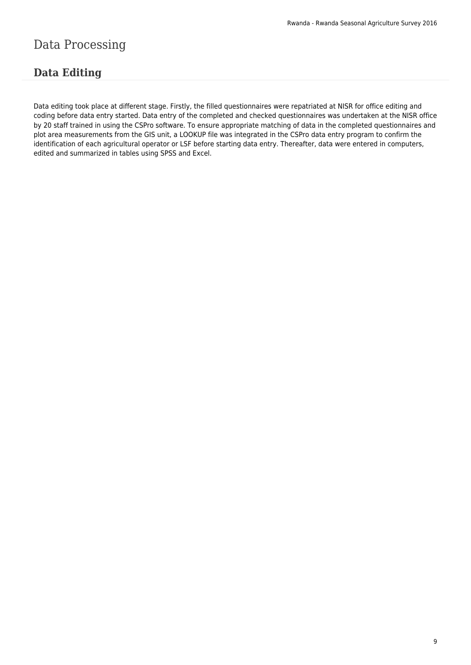# Data Processing

## **Data Editing**

Data editing took place at different stage. Firstly, the filled questionnaires were repatriated at NISR for office editing and coding before data entry started. Data entry of the completed and checked questionnaires was undertaken at the NISR office by 20 staff trained in using the CSPro software. To ensure appropriate matching of data in the completed questionnaires and plot area measurements from the GIS unit, a LOOKUP file was integrated in the CSPro data entry program to confirm the identification of each agricultural operator or LSF before starting data entry. Thereafter, data were entered in computers, edited and summarized in tables using SPSS and Excel.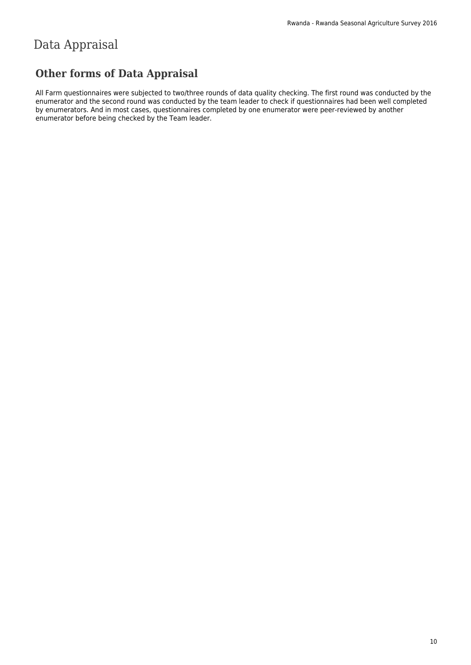# Data Appraisal

## **Other forms of Data Appraisal**

All Farm questionnaires were subjected to two/three rounds of data quality checking. The first round was conducted by the enumerator and the second round was conducted by the team leader to check if questionnaires had been well completed by enumerators. And in most cases, questionnaires completed by one enumerator were peer-reviewed by another enumerator before being checked by the Team leader.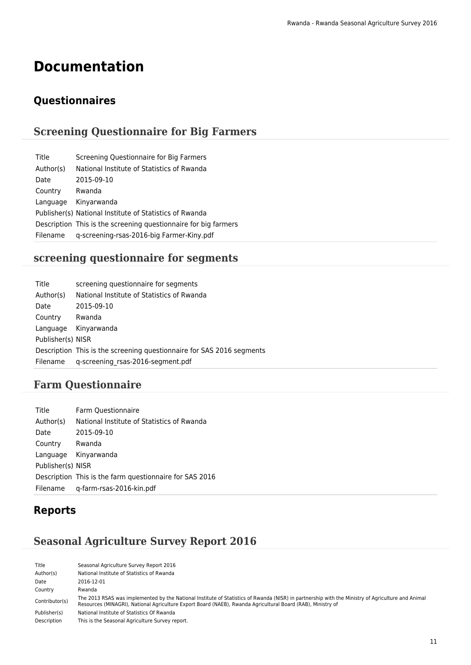# **Documentation**

#### **Questionnaires**

## **Screening Questionnaire for Big Farmers**

| Title     | Screening Questionnaire for Big Farmers                         |
|-----------|-----------------------------------------------------------------|
| Author(s) | National Institute of Statistics of Rwanda                      |
| Date      | 2015-09-10                                                      |
| Country   | Rwanda                                                          |
| Language  | Kinyarwanda                                                     |
|           | Publisher(s) National Institute of Statistics of Rwanda         |
|           | Description This is the screening questionnaire for big farmers |
| Filename  | g-screening-rsas-2016-big Farmer-Kiny.pdf                       |

# **screening questionnaire for segments**

| Title             | screening questionnaire for segments                                  |
|-------------------|-----------------------------------------------------------------------|
| Author(s)         | National Institute of Statistics of Rwanda                            |
| Date              | 2015-09-10                                                            |
| Country           | Rwanda                                                                |
| Language          | Kinyarwanda                                                           |
| Publisher(s) NISR |                                                                       |
|                   | Description This is the screening questionnaire for SAS 2016 segments |
| Filename          | g-screening rsas-2016-segment.pdf                                     |

#### **Farm Questionnaire**

| Title             | <b>Farm Questionnaire</b>                               |
|-------------------|---------------------------------------------------------|
| Author(s)         | National Institute of Statistics of Rwanda              |
| Date              | 2015-09-10                                              |
| Country           | Rwanda                                                  |
| Language          | Kinyarwanda                                             |
| Publisher(s) NISR |                                                         |
|                   | Description This is the farm questionnaire for SAS 2016 |
| Filename          | q-farm-rsas-2016-kin.pdf                                |

## **Reports**

## **Seasonal Agriculture Survey Report 2016**

| Title          | Seasonal Agriculture Survey Report 2016                                                                                                                                                                                                                          |
|----------------|------------------------------------------------------------------------------------------------------------------------------------------------------------------------------------------------------------------------------------------------------------------|
| Author(s)      | National Institute of Statistics of Rwanda                                                                                                                                                                                                                       |
| Date           | 2016-12-01                                                                                                                                                                                                                                                       |
| Country        | Rwanda                                                                                                                                                                                                                                                           |
| Contributor(s) | The 2013 RSAS was implemented by the National Institute of Statistics of Rwanda (NISR) in partnership with the Ministry of Agriculture and Animal<br>Resources (MINAGRI), National Agriculture Export Board (NAEB), Rwanda Agricultural Board (RAB), Ministry of |
| Publisher(s)   | National Institute of Statistics Of Rwanda                                                                                                                                                                                                                       |
| Description    | This is the Seasonal Agriculture Survey report.                                                                                                                                                                                                                  |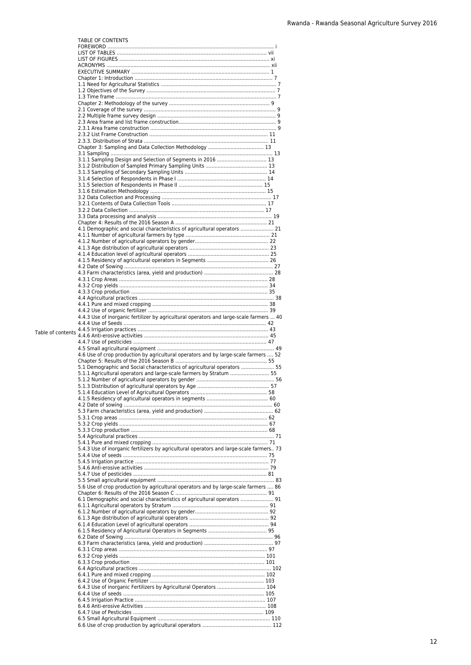|                   | <b>TABLE OF CONTENTS</b>                                                                |  |
|-------------------|-----------------------------------------------------------------------------------------|--|
|                   |                                                                                         |  |
|                   |                                                                                         |  |
|                   |                                                                                         |  |
|                   |                                                                                         |  |
|                   |                                                                                         |  |
|                   |                                                                                         |  |
|                   |                                                                                         |  |
|                   |                                                                                         |  |
|                   |                                                                                         |  |
|                   |                                                                                         |  |
|                   |                                                                                         |  |
|                   |                                                                                         |  |
|                   |                                                                                         |  |
|                   |                                                                                         |  |
|                   |                                                                                         |  |
|                   | 3.1.1 Sampling Design and Selection of Segments in 2016  13                             |  |
|                   |                                                                                         |  |
|                   |                                                                                         |  |
|                   |                                                                                         |  |
|                   |                                                                                         |  |
|                   |                                                                                         |  |
|                   |                                                                                         |  |
|                   |                                                                                         |  |
|                   |                                                                                         |  |
|                   |                                                                                         |  |
|                   | 4.1 Demographic and social characteristics of agricultural operators  21                |  |
|                   |                                                                                         |  |
|                   |                                                                                         |  |
|                   |                                                                                         |  |
|                   |                                                                                         |  |
|                   |                                                                                         |  |
|                   |                                                                                         |  |
|                   |                                                                                         |  |
|                   |                                                                                         |  |
|                   |                                                                                         |  |
|                   |                                                                                         |  |
|                   |                                                                                         |  |
|                   | 4.4.3 Use of inorganic fertilizer by agricultural operators and large-scale farmers  40 |  |
|                   |                                                                                         |  |
| Table of contents |                                                                                         |  |
|                   |                                                                                         |  |
|                   |                                                                                         |  |
|                   | 4.6 Use of crop production by agricultural operators and by large-scale farmers  52     |  |
|                   |                                                                                         |  |
|                   | 5.1 Demographic and Social characteristics of agricultural operators  55                |  |
|                   | 5.1.1 Agricultural operators and large-scale farmers by Stratum  55                     |  |
|                   |                                                                                         |  |
|                   |                                                                                         |  |
|                   |                                                                                         |  |
|                   |                                                                                         |  |
|                   |                                                                                         |  |
|                   |                                                                                         |  |
|                   |                                                                                         |  |
|                   |                                                                                         |  |
|                   |                                                                                         |  |
|                   | 5.4.3 Use of inorganic fertilizers by agricultural operators and large-scale farmers 73 |  |
|                   |                                                                                         |  |
|                   |                                                                                         |  |
|                   |                                                                                         |  |
|                   |                                                                                         |  |
|                   | 5.6 Use of crop production by agricultural operators and by large-scale farmers  86     |  |
|                   |                                                                                         |  |
|                   | 6.1 Demographic and social characteristics of agricultural operators  91                |  |
|                   |                                                                                         |  |
|                   |                                                                                         |  |
|                   |                                                                                         |  |
|                   |                                                                                         |  |
|                   |                                                                                         |  |
|                   |                                                                                         |  |
|                   |                                                                                         |  |
|                   |                                                                                         |  |
|                   |                                                                                         |  |
|                   |                                                                                         |  |
|                   |                                                                                         |  |
|                   | 6.4.3 Use of inorganic Fertilizers by Agricultural Operators  104                       |  |
|                   |                                                                                         |  |
|                   |                                                                                         |  |
|                   |                                                                                         |  |
|                   |                                                                                         |  |
|                   |                                                                                         |  |